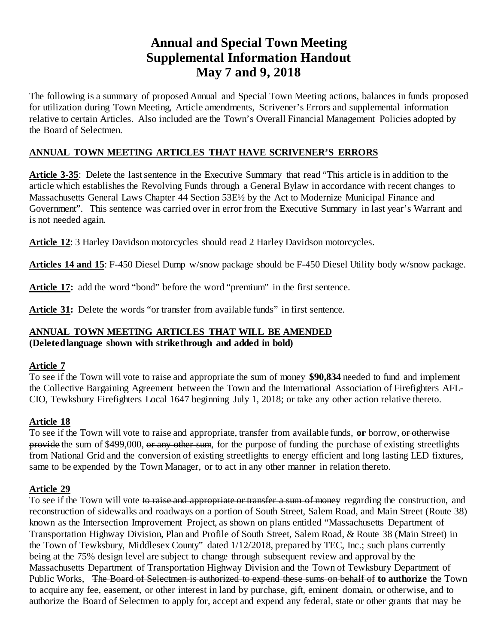# **Annual and Special Town Meeting Supplemental Information Handout May 7 and 9, 2018**

The following is a summary of proposed Annual and Special Town Meeting actions, balances in funds proposed for utilization during Town Meeting, Article amendments, Scrivener's Errors and supplemental information relative to certain Articles. Also included are the Town's Overall Financial Management Policies adopted by the Board of Selectmen.

# **ANNUAL TOWN MEETING ARTICLES THAT HAVE SCRIVENER'S ERRORS**

**Article 3-35**: Delete the last sentence in the Executive Summary that read "This article is in addition to the article which establishes the Revolving Funds through a General Bylaw in accordance with recent changes to Massachusetts General Laws Chapter 44 Section 53E½ by the Act to Modernize Municipal Finance and Government". This sentence was carried over in error from the Executive Summary in last year's Warrant and is not needed again.

**Article 12**: 3 Harley Davidson motorcycles should read 2 Harley Davidson motorcycles.

**Articles 14 and 15**: F-450 Diesel Dump w/snow package should be F-450 Diesel Utility body w/snow package.

Article 17: add the word "bond" before the word "premium" in the first sentence.

**Article 31:** Delete the words "or transfer from available funds" in first sentence.

#### **ANNUAL TOWN MEETING ARTICLES THAT WILL BE AMENDED (Deleted language shown with strikethrough and added in bold)**

#### **Article 7**

To see if the Town will vote to raise and appropriate the sum of money **\$90,834** needed to fund and implement the Collective Bargaining Agreement between the Town and the International Association of Firefighters AFL-CIO, Tewksbury Firefighters Local 1647 beginning July 1, 2018; or take any other action relative thereto.

### **Article 18**

To see if the Town will vote to raise and appropriate, transfer from available funds, **or** borrow, or otherwise provide the sum of \$499,000, or any other sum, for the purpose of funding the purchase of existing streetlights from National Grid and the conversion of existing streetlights to energy efficient and long lasting LED fixtures, same to be expended by the Town Manager, or to act in any other manner in relation thereto.

### **Article 29**

To see if the Town will vote to raise and appropriate or transfer a sum of money regarding the construction, and reconstruction of sidewalks and roadways on a portion of South Street, Salem Road, and Main Street (Route 38) known as the Intersection Improvement Project, as shown on plans entitled "Massachusetts Department of Transportation Highway Division, Plan and Profile of South Street, Salem Road, & Route 38 (Main Street) in the Town of Tewksbury, Middlesex County" dated 1/12/2018, prepared by TEC, Inc.; such plans currently being at the 75% design level are subject to change through subsequent review and approval by the Massachusetts Department of Transportation Highway Division and the Town of Tewksbury Department of Public Works, The Board of Selectmen is authorized to expend these sums on behalf of **to authorize** the Town to acquire any fee, easement, or other interest in land by purchase, gift, eminent domain, or otherwise, and to authorize the Board of Selectmen to apply for, accept and expend any federal, state or other grants that may be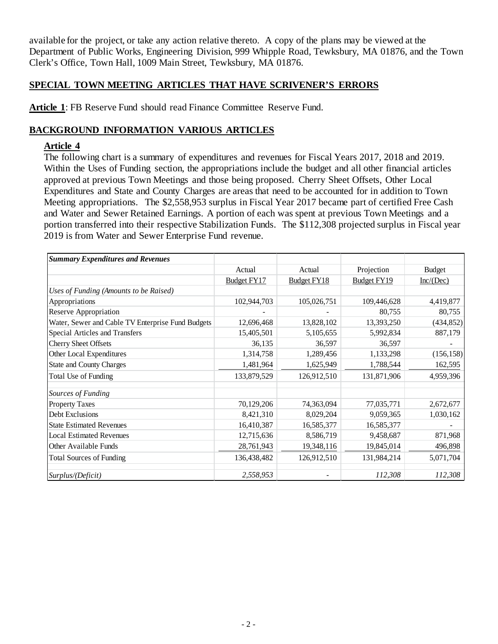available for the project, or take any action relative thereto. A copy of the plans may be viewed at the Department of Public Works, Engineering Division, 999 Whipple Road, Tewksbury, MA 01876, and the Town Clerk's Office, Town Hall, 1009 Main Street, Tewksbury, MA 01876.

### **SPECIAL TOWN MEETING ARTICLES THAT HAVE SCRIVENER'S ERRORS**

**Article 1**: FB Reserve Fund should read Finance Committee Reserve Fund.

# **BACKGROUND INFORMATION VARIOUS ARTICLES**

### **Article 4**

The following chart is a summary of expenditures and revenues for Fiscal Years 2017, 2018 and 2019. Within the Uses of Funding section, the appropriations include the budget and all other financial articles approved at previous Town Meetings and those being proposed. Cherry Sheet Offsets, Other Local Expenditures and State and County Charges are areas that need to be accounted for in addition to Town Meeting appropriations. The \$2,558,953 surplus in Fiscal Year 2017 became part of certified Free Cash and Water and Sewer Retained Earnings. A portion of each was spent at previous Town Meetings and a portion transferred into their respective Stabilization Funds. The \$112,308 projected surplus in Fiscal year 2019 is from Water and Sewer Enterprise Fund revenue.

| <b>Summary Expenditures and Revenues</b>          |             |                    |                    |               |
|---------------------------------------------------|-------------|--------------------|--------------------|---------------|
|                                                   | Actual      | Actual             | Projection         | <b>Budget</b> |
|                                                   | Budget FY17 | <b>Budget FY18</b> | <b>Budget FY19</b> | Inc/(Dec)     |
| Uses of Funding (Amounts to be Raised)            |             |                    |                    |               |
| Appropriations                                    | 102,944,703 | 105,026,751        | 109,446,628        | 4,419,877     |
| Reserve Appropriation                             |             |                    | 80,755             | 80,755        |
| Water, Sewer and Cable TV Enterprise Fund Budgets | 12,696,468  | 13,828,102         | 13,393,250         | (434, 852)    |
| Special Articles and Transfers                    | 15,405,501  | 5,105,655          | 5,992,834          | 887,179       |
| Cherry Sheet Offsets                              | 36,135      | 36,597             | 36,597             |               |
| Other Local Expenditures                          | 1,314,758   | 1,289,456          | 1,133,298          | (156, 158)    |
| <b>State and County Charges</b>                   | 1,481,964   | 1,625,949          | 1,788,544          | 162,595       |
| Total Use of Funding                              | 133,879,529 | 126,912,510        | 131,871,906        | 4,959,396     |
| Sources of Funding                                |             |                    |                    |               |
| <b>Property Taxes</b>                             | 70,129,206  | 74,363,094         | 77,035,771         | 2,672,677     |
| Debt Exclusions                                   | 8,421,310   | 8,029,204          | 9,059,365          | 1,030,162     |
| <b>State Estimated Revenues</b>                   | 16,410,387  | 16,585,377         | 16,585,377         |               |
| <b>Local Estimated Revenues</b>                   | 12,715,636  | 8,586,719          | 9,458,687          | 871,968       |
| Other Available Funds                             | 28,761,943  | 19,348,116         | 19,845,014         | 496,898       |
| <b>Total Sources of Funding</b>                   | 136,438,482 | 126,912,510        | 131,984,214        | 5,071,704     |
| Surplus/(Deficit)                                 | 2,558,953   |                    | 112,308            | 112,308       |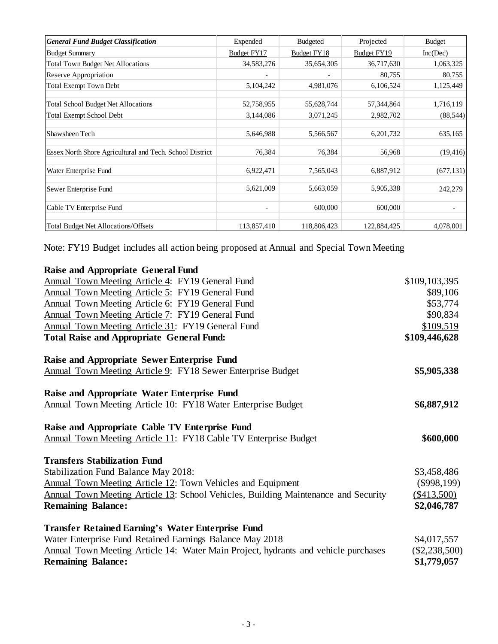| <b>General Fund Budget Classification</b>                | Expended                 | <b>Budgeted</b>    | Projected          | <b>Budget</b> |
|----------------------------------------------------------|--------------------------|--------------------|--------------------|---------------|
| <b>Budget Summary</b>                                    | Budget FY17              | <b>Budget FY18</b> | <b>Budget FY19</b> | Inc(Dec)      |
| <b>Total Town Budget Net Allocations</b>                 | 34,583,276               | 35,654,305         | 36,717,630         | 1,063,325     |
| Reserve Appropriation                                    |                          |                    | 80,755             | 80,755        |
| <b>Total Exempt Town Debt</b>                            | 5,104,242                | 4,981,076          | 6,106,524          | 1,125,449     |
| <b>Total School Budget Net Allocations</b>               | 52,758,955               | 55,628,744         | 57,344,864         | 1,716,119     |
| <b>Total Exempt School Debt</b>                          | 3,144,086                | 3,071,245          | 2,982,702          | (88, 544)     |
| Shawsheen Tech                                           | 5,646,988                | 5,566,567          | 6,201,732          | 635,165       |
| Essex North Shore Agricultural and Tech. School District | 76,384                   | 76,384             | 56,968             | (19, 416)     |
| Water Enterprise Fund                                    | 6,922,471                | 7,565,043          | 6,887,912          | (677, 131)    |
| Sewer Enterprise Fund                                    | 5,621,009                | 5,663,059          | 5,905,338          | 242,279       |
| Cable TV Enterprise Fund                                 | $\overline{\phantom{a}}$ | 600,000            | 600,000            |               |
| <b>Total Budget Net Allocations/Offsets</b>              | 113,857,410              | 118,806,423        | 122,884,425        | 4,078,001     |

Note: FY19 Budget includes all action being proposed at Annual and Special Town Meeting

| <b>Raise and Appropriate General Fund</b>                                          |               |
|------------------------------------------------------------------------------------|---------------|
| Annual Town Meeting Article 4: FY19 General Fund                                   | \$109,103,395 |
| Annual Town Meeting Article 5: FY19 General Fund                                   | \$89,106      |
| Annual Town Meeting Article 6: FY19 General Fund                                   | \$53,774      |
| <b>Annual Town Meeting Article 7: FY19 General Fund</b>                            | \$90,834      |
| Annual Town Meeting Article 31: FY19 General Fund                                  | \$109,519     |
| <b>Total Raise and Appropriate General Fund:</b>                                   | \$109,446,628 |
| Raise and Appropriate Sewer Enterprise Fund                                        |               |
| <b>Annual Town Meeting Article 9: FY18 Sewer Enterprise Budget</b>                 | \$5,905,338   |
| Raise and Appropriate Water Enterprise Fund                                        |               |
| <b>Annual Town Meeting Article 10: FY18 Water Enterprise Budget</b>                | \$6,887,912   |
| Raise and Appropriate Cable TV Enterprise Fund                                     |               |
| Annual Town Meeting Article 11: FY18 Cable TV Enterprise Budget                    | \$600,000     |
| <b>Transfers Stabilization Fund</b>                                                |               |
| Stabilization Fund Balance May 2018:                                               | \$3,458,486   |
| Annual Town Meeting Article 12: Town Vehicles and Equipment                        | $(\$998,199)$ |
| Annual Town Meeting Article 13: School Vehicles, Building Maintenance and Security | (\$413,500)   |
| <b>Remaining Balance:</b>                                                          | \$2,046,787   |
| <b>Transfer Retained Earning's Water Enterprise Fund</b>                           |               |
| Water Enterprise Fund Retained Earnings Balance May 2018                           | \$4,017,557   |
| Annual Town Meeting Article 14: Water Main Project, hydrants and vehicle purchases | (\$2,238,500) |
| <b>Remaining Balance:</b>                                                          | \$1,779,057   |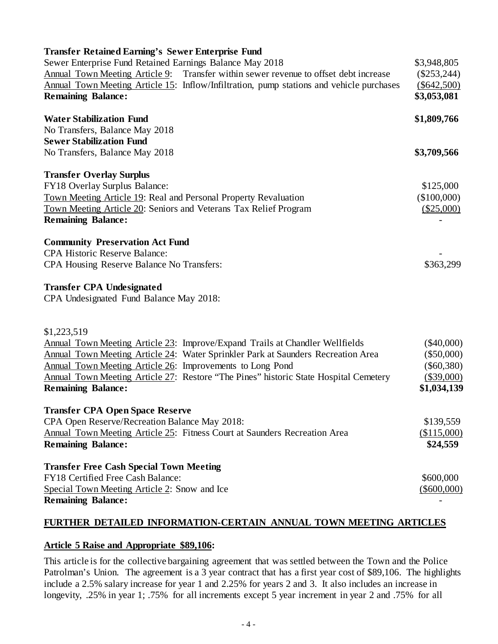| Transfer Retained Earning's Sewer Enterprise Fund                                        |               |
|------------------------------------------------------------------------------------------|---------------|
| Sewer Enterprise Fund Retained Earnings Balance May 2018                                 | \$3,948,805   |
| Annual Town Meeting Article 9: Transfer within sewer revenue to offset debt increase     | $(\$253,244)$ |
| Annual Town Meeting Article 15: Inflow/Infiltration, pump stations and vehicle purchases | $(\$642,500)$ |
| <b>Remaining Balance:</b>                                                                | \$3,053,081   |
| <b>Water Stabilization Fund</b>                                                          | \$1,809,766   |
| No Transfers, Balance May 2018                                                           |               |
| <b>Sewer Stabilization Fund</b>                                                          |               |
| No Transfers, Balance May 2018                                                           | \$3,709,566   |
| <b>Transfer Overlay Surplus</b>                                                          |               |
| FY18 Overlay Surplus Balance:                                                            | \$125,000     |
| Town Meeting Article 19: Real and Personal Property Revaluation                          | (\$100,000)   |
| Town Meeting Article 20: Seniors and Veterans Tax Relief Program                         | (\$25,000)    |
| <b>Remaining Balance:</b>                                                                |               |
| <b>Community Preservation Act Fund</b>                                                   |               |
| <b>CPA Historic Reserve Balance:</b>                                                     |               |
| CPA Housing Reserve Balance No Transfers:                                                | \$363,299     |
| <b>Transfer CPA Undesignated</b>                                                         |               |
| CPA Undesignated Fund Balance May 2018:                                                  |               |
| \$1,223,519                                                                              |               |
| <b>Annual Town Meeting Article 23: Improve/Expand Trails at Chandler Wellfields</b>      | $(\$40,000)$  |
| Annual Town Meeting Article 24: Water Sprinkler Park at Saunders Recreation Area         | $(\$50,000)$  |
| Annual Town Meeting Article 26: Improvements to Long Pond                                | $(\$60,380)$  |
| Annual Town Meeting Article 27: Restore "The Pines" historic State Hospital Cemetery     | (\$39,000)    |
| <b>Remaining Balance:</b>                                                                | \$1,034,139   |
| <b>Transfer CPA Open Space Reserve</b>                                                   |               |
| CPA Open Reserve/Recreation Balance May 2018:                                            | \$139,559     |
| Annual Town Meeting Article 25: Fitness Court at Saunders Recreation Area                | (\$115,000)   |
| <b>Remaining Balance:</b>                                                                | \$24,559      |
| <b>Transfer Free Cash Special Town Meeting</b>                                           |               |
| FY18 Certified Free Cash Balance:                                                        | \$600,000     |
| Special Town Meeting Article 2: Snow and Ice                                             | $(\$600,000)$ |
| <b>Remaining Balance:</b>                                                                |               |

# **FURTHER DETAILED INFORMATION-CERTAIN ANNUAL TOWN MEETING ARTICLES**

#### **Article 5 Raise and Appropriate \$89,106:**

This article is for the collective bargaining agreement that was settled between the Town and the Police Patrolman's Union. The agreement is a 3 year contract that has a first year cost of \$89,106. The highlights include a 2.5% salary increase for year 1 and 2.25% for years 2 and 3. It also includes an increase in longevity, .25% in year 1; .75% for all increments except 5 year increment in year 2 and .75% for all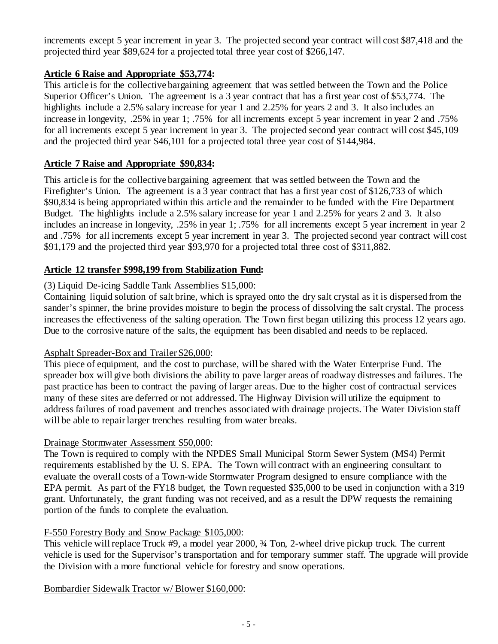increments except 5 year increment in year 3. The projected second year contract will cost \$87,418 and the projected third year \$89,624 for a projected total three year cost of \$266,147.

### **Article 6 Raise and Appropriate \$53,774:**

This article is for the collective bargaining agreement that was settled between the Town and the Police Superior Officer's Union. The agreement is a 3 year contract that has a first year cost of \$53,774. The highlights include a 2.5% salary increase for year 1 and 2.25% for years 2 and 3. It also includes an increase in longevity, .25% in year 1; .75% for all increments except 5 year increment in year 2 and .75% for all increments except 5 year increment in year 3. The projected second year contract will cost \$45,109 and the projected third year \$46,101 for a projected total three year cost of \$144,984.

# **Article 7 Raise and Appropriate \$90,834:**

This article is for the collective bargaining agreement that was settled between the Town and the Firefighter's Union. The agreement is a 3 year contract that has a first year cost of \$126,733 of which \$90,834 is being appropriated within this article and the remainder to be funded with the Fire Department Budget. The highlights include a 2.5% salary increase for year 1 and 2.25% for years 2 and 3. It also includes an increase in longevity, .25% in year 1; .75% for all increments except 5 year increment in year 2 and .75% for all increments except 5 year increment in year 3. The projected second year contract will cost \$91,179 and the projected third year \$93,970 for a projected total three cost of \$311,882.

# **Article 12 transfer \$998,199 from Stabilization Fund:**

### (3) Liquid De-icing Saddle Tank Assemblies \$15,000:

Containing liquid solution of salt brine, which is sprayed onto the dry salt crystal as it is dispersed from the sander's spinner, the brine provides moisture to begin the process of dissolving the salt crystal. The process increases the effectiveness of the salting operation. The Town first began utilizing this process 12 years ago. Due to the corrosive nature of the salts, the equipment has been disabled and needs to be replaced.

### Asphalt Spreader-Box and Trailer \$26,000:

This piece of equipment, and the cost to purchase, will be shared with the Water Enterprise Fund. The spreader box will give both divisions the ability to pave larger areas of roadway distresses and failures. The past practice has been to contract the paving of larger areas. Due to the higher cost of contractual services many of these sites are deferred or not addressed. The Highway Division will utilize the equipment to address failures of road pavement and trenches associated with drainage projects. The Water Division staff will be able to repair larger trenches resulting from water breaks.

### Drainage Stormwater Assessment \$50,000:

The Town is required to comply with the NPDES Small Municipal Storm Sewer System (MS4) Permit requirements established by the U. S. EPA. The Town will contract with an engineering consultant to evaluate the overall costs of a Town-wide Stormwater Program designed to ensure compliance with the EPA permit. As part of the FY18 budget, the Town requested \$35,000 to be used in conjunction with a 319 grant. Unfortunately, the grant funding was not received, and as a result the DPW requests the remaining portion of the funds to complete the evaluation.

# F-550 Forestry Body and Snow Package \$105,000:

This vehicle will replace Truck #9, a model year 2000, ¾ Ton, 2-wheel drive pickup truck. The current vehicle is used for the Supervisor's transportation and for temporary summer staff. The upgrade will provide the Division with a more functional vehicle for forestry and snow operations.

Bombardier Sidewalk Tractor w/ Blower \$160,000: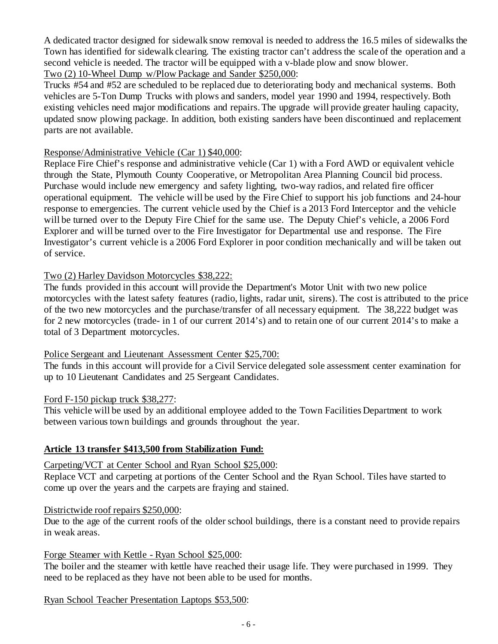A dedicated tractor designed for sidewalk snow removal is needed to address the 16.5 miles of sidewalks the Town has identified for sidewalk clearing. The existing tractor can't address the scale of the operation and a second vehicle is needed. The tractor will be equipped with a v-blade plow and snow blower. Two (2) 10-Wheel Dump w/Plow Package and Sander \$250,000:

Trucks #54 and #52 are scheduled to be replaced due to deteriorating body and mechanical systems. Both vehicles are 5-Ton Dump Trucks with plows and sanders, model year 1990 and 1994, respectively. Both existing vehicles need major modifications and repairs. The upgrade will provide greater hauling capacity, updated snow plowing package. In addition, both existing sanders have been discontinued and replacement parts are not available.

### Response/Administrative Vehicle (Car 1) \$40,000:

Replace Fire Chief's response and administrative vehicle (Car 1) with a Ford AWD or equivalent vehicle through the State, Plymouth County Cooperative, or Metropolitan Area Planning Council bid process. Purchase would include new emergency and safety lighting, two-way radios, and related fire officer operational equipment. The vehicle will be used by the Fire Chief to support his job functions and 24-hour response to emergencies. The current vehicle used by the Chief is a 2013 Ford Interceptor and the vehicle will be turned over to the Deputy Fire Chief for the same use. The Deputy Chief's vehicle, a 2006 Ford Explorer and will be turned over to the Fire Investigator for Departmental use and response. The Fire Investigator's current vehicle is a 2006 Ford Explorer in poor condition mechanically and will be taken out of service.

### Two (2) Harley Davidson Motorcycles \$38,222:

The funds provided in this account will provide the Department's Motor Unit with two new police motorcycles with the latest safety features (radio, lights, radar unit, sirens). The cost is attributed to the price of the two new motorcycles and the purchase/transfer of all necessary equipment. The 38,222 budget was for 2 new motorcycles (trade- in 1 of our current 2014's) and to retain one of our current 2014's to make a total of 3 Department motorcycles.

### Police Sergeant and Lieutenant Assessment Center \$25,700:

The funds in this account will provide for a Civil Service delegated sole assessment center examination for up to 10 Lieutenant Candidates and 25 Sergeant Candidates.

#### Ford F-150 pickup truck \$38,277:

This vehicle will be used by an additional employee added to the Town Facilities Department to work between various town buildings and grounds throughout the year.

### **Article 13 transfer \$413,500 from Stabilization Fund:**

### Carpeting/VCT at Center School and Ryan School \$25,000:

Replace VCT and carpeting at portions of the Center School and the Ryan School. Tiles have started to come up over the years and the carpets are fraying and stained.

#### Districtwide roof repairs \$250,000:

Due to the age of the current roofs of the older school buildings, there is a constant need to provide repairs in weak areas.

#### Forge Steamer with Kettle - Ryan School \$25,000:

The boiler and the steamer with kettle have reached their usage life. They were purchased in 1999. They need to be replaced as they have not been able to be used for months.

#### Ryan School Teacher Presentation Laptops \$53,500: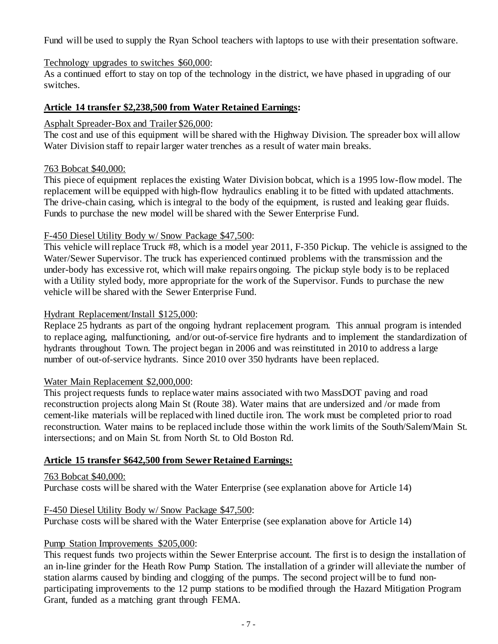Fund will be used to supply the Ryan School teachers with laptops to use with their presentation software.

### Technology upgrades to switches \$60,000:

As a continued effort to stay on top of the technology in the district, we have phased in upgrading of our switches.

### **Article 14 transfer \$2,238,500 from Water Retained Earnings:**

### Asphalt Spreader-Box and Trailer \$26,000:

The cost and use of this equipment will be shared with the Highway Division. The spreader box will allow Water Division staff to repair larger water trenches as a result of water main breaks.

### 763 Bobcat \$40,000:

This piece of equipment replaces the existing Water Division bobcat, which is a 1995 low-flow model. The replacement will be equipped with high-flow hydraulics enabling it to be fitted with updated attachments. The drive-chain casing, which is integral to the body of the equipment, is rusted and leaking gear fluids. Funds to purchase the new model will be shared with the Sewer Enterprise Fund.

### F-450 Diesel Utility Body w/ Snow Package \$47,500:

This vehicle will replace Truck #8, which is a model year 2011, F-350 Pickup. The vehicle is assigned to the Water/Sewer Supervisor. The truck has experienced continued problems with the transmission and the under-body has excessive rot, which will make repairs ongoing. The pickup style body is to be replaced with a Utility styled body, more appropriate for the work of the Supervisor. Funds to purchase the new vehicle will be shared with the Sewer Enterprise Fund.

### Hydrant Replacement/Install \$125,000:

Replace 25 hydrants as part of the ongoing hydrant replacement program. This annual program is intended to replace aging, malfunctioning, and/or out-of-service fire hydrants and to implement the standardization of hydrants throughout Town. The project began in 2006 and was reinstituted in 2010 to address a large number of out-of-service hydrants. Since 2010 over 350 hydrants have been replaced.

### Water Main Replacement \$2,000,000:

This project requests funds to replace water mains associated with two MassDOT paving and road reconstruction projects along Main St (Route 38). Water mains that are undersized and /or made from cement-like materials will be replaced with lined ductile iron. The work must be completed prior to road reconstruction. Water mains to be replaced include those within the work limits of the South/Salem/Main St. intersections; and on Main St. from North St. to Old Boston Rd.

### **Article 15 transfer \$642,500 from Sewer Retained Earnings:**

#### 763 Bobcat \$40,000:

Purchase costs will be shared with the Water Enterprise (see explanation above for Article 14)

#### F-450 Diesel Utility Body w/ Snow Package \$47,500:

Purchase costs will be shared with the Water Enterprise (see explanation above for Article 14)

#### Pump Station Improvements \$205,000:

This request funds two projects within the Sewer Enterprise account. The first is to design the installation of an in-line grinder for the Heath Row Pump Station. The installation of a grinder will alleviate the number of station alarms caused by binding and clogging of the pumps. The second project will be to fund nonparticipating improvements to the 12 pump stations to be modified through the Hazard Mitigation Program Grant, funded as a matching grant through FEMA.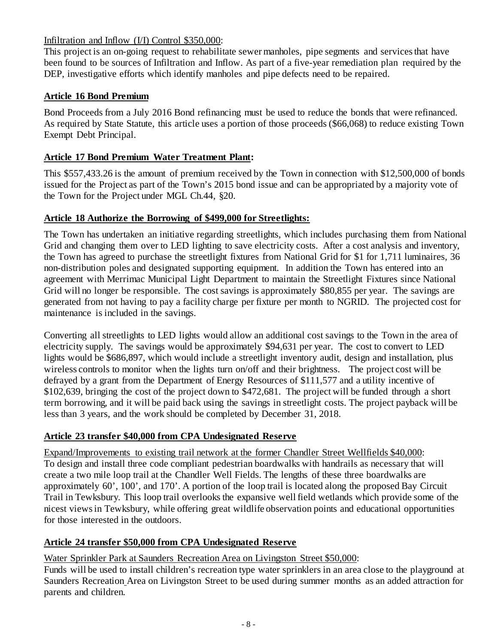### Infiltration and Inflow (I/I) Control \$350,000:

This project is an on-going request to rehabilitate sewer manholes, pipe segments and services that have been found to be sources of Infiltration and Inflow. As part of a five-year remediation plan required by the DEP, investigative efforts which identify manholes and pipe defects need to be repaired.

# **Article 16 Bond Premium**

Bond Proceeds from a July 2016 Bond refinancing must be used to reduce the bonds that were refinanced. As required by State Statute, this article uses a portion of those proceeds (\$66,068) to reduce existing Town Exempt Debt Principal.

# **Article 17 Bond Premium Water Treatment Plant:**

This \$557,433.26 is the amount of premium received by the Town in connection with \$12,500,000 of bonds issued for the Project as part of the Town's 2015 bond issue and can be appropriated by a majority vote of the Town for the Project under MGL Ch.44, §20.

### **Article 18 Authorize the Borrowing of \$499,000 for Streetlights:**

The Town has undertaken an initiative regarding streetlights, which includes purchasing them from National Grid and changing them over to LED lighting to save electricity costs. After a cost analysis and inventory, the Town has agreed to purchase the streetlight fixtures from National Grid for \$1 for 1,711 luminaires, 36 non-distribution poles and designated supporting equipment. In addition the Town has entered into an agreement with Merrimac Municipal Light Department to maintain the Streetlight Fixtures since National Grid will no longer be responsible. The cost savings is approximately \$80,855 per year. The savings are generated from not having to pay a facility charge per fixture per month to NGRID. The projected cost for maintenance is included in the savings.

Converting all streetlights to LED lights would allow an additional cost savings to the Town in the area of electricity supply. The savings would be approximately \$94,631 per year. The cost to convert to LED lights would be \$686,897, which would include a streetlight inventory audit, design and installation, plus wireless controls to monitor when the lights turn on/off and their brightness. The project cost will be defrayed by a grant from the Department of Energy Resources of \$111,577 and a utility incentive of \$102,639, bringing the cost of the project down to \$472,681. The project will be funded through a short term borrowing, and it will be paid back using the savings in streetlight costs. The project payback will be less than 3 years, and the work should be completed by December 31, 2018.

### **Article 23 transfer \$40,000 from CPA Undesignated Reserve**

Expand/Improvements to existing trail network at the former Chandler Street Wellfields \$40,000: To design and install three code compliant pedestrian boardwalks with handrails as necessary that will create a two mile loop trail at the Chandler Well Fields. The lengths of these three boardwalks are approximately 60', 100', and 170'. A portion of the loop trail is located along the proposed Bay Circuit Trail in Tewksbury. This loop trail overlooks the expansive well field wetlands which provide some of the nicest views in Tewksbury, while offering great wildlife observation points and educational opportunities for those interested in the outdoors.

### **Article 24 transfer \$50,000 from CPA Undesignated Reserve**

### Water Sprinkler Park at Saunders Recreation Area on Livingston Street \$50,000:

Funds will be used to install children's recreation type water sprinklers in an area close to the playground at Saunders Recreation Area on Livingston Street to be used during summer months as an added attraction for parents and children.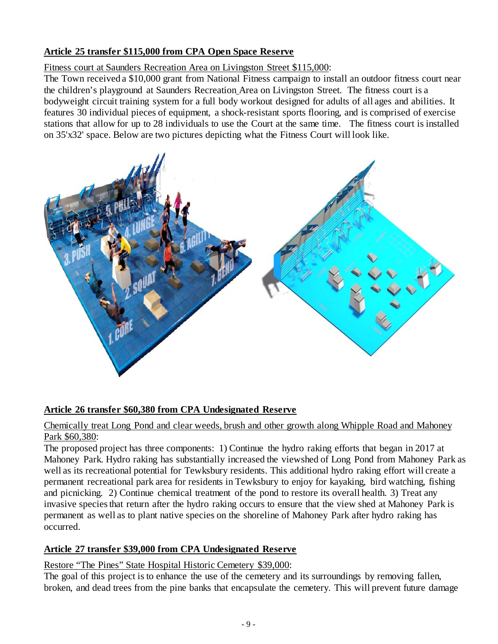# **Article 25 transfer \$115,000 from CPA Open Space Reserve**

### Fitness court at Saunders Recreation Area on Livingston Street \$115,000:

The Town received a \$10,000 grant from National Fitness campaign to install an outdoor fitness court near the children's playground at Saunders Recreation Area on Livingston Street. The fitness court is a bodyweight circuit training system for a full body workout designed for adults of all ages and abilities. It features 30 individual pieces of equipment, a shock-resistant sports flooring, and is comprised of exercise stations that allow for up to 28 individuals to use the Court at the same time. The fitness court is installed on 35'x32' space. Below are two pictures depicting what the Fitness Court will look like.



### **Article 26 transfer \$60,380 from CPA Undesignated Reserve**

### Chemically treat Long Pond and clear weeds, brush and other growth along Whipple Road and Mahoney Park \$60,380:

The proposed project has three components: 1) Continue the hydro raking efforts that began in 2017 at Mahoney Park. Hydro raking has substantially increased the viewshed of Long Pond from Mahoney Park as well as its recreational potential for Tewksbury residents. This additional hydro raking effort will create a permanent recreational park area for residents in Tewksbury to enjoy for kayaking, bird watching, fishing and picnicking. 2) Continue chemical treatment of the pond to restore its overall health. 3) Treat any invasive species that return after the hydro raking occurs to ensure that the view shed at Mahoney Park is permanent as well as to plant native species on the shoreline of Mahoney Park after hydro raking has occurred.

### **Article 27 transfer \$39,000 from CPA Undesignated Reserve**

### Restore "The Pines" State Hospital Historic Cemetery \$39,000:

The goal of this project is to enhance the use of the cemetery and its surroundings by removing fallen, broken, and dead trees from the pine banks that encapsulate the cemetery. This will prevent future damage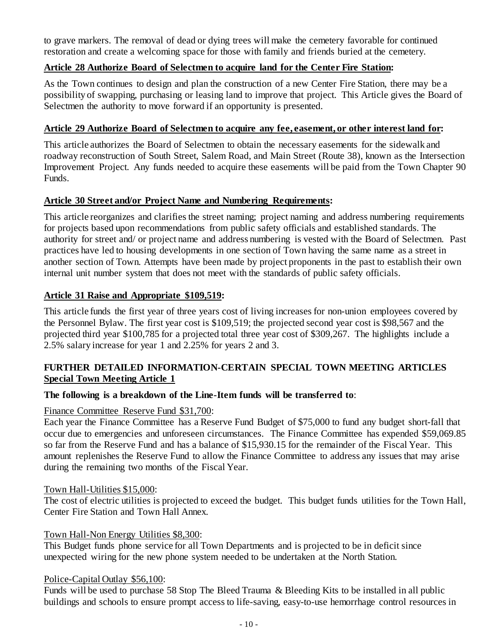to grave markers. The removal of dead or dying trees will make the cemetery favorable for continued restoration and create a welcoming space for those with family and friends buried at the cemetery.

### **Article 28 Authorize Board of Selectmen to acquire land for the Center Fire Station:**

As the Town continues to design and plan the construction of a new Center Fire Station, there may be a possibility of swapping, purchasing or leasing land to improve that project. This Article gives the Board of Selectmen the authority to move forward if an opportunity is presented.

#### **Article 29 Authorize Board of Selectmen to acquire any fee, easement, or other interest land for:**

This article authorizes the Board of Selectmen to obtain the necessary easements for the sidewalk and roadway reconstruction of South Street, Salem Road, and Main Street (Route 38), known as the Intersection Improvement Project. Any funds needed to acquire these easements will be paid from the Town Chapter 90 Funds.

### **Article 30 Street and/or Project Name and Numbering Requirements:**

This article reorganizes and clarifies the street naming; project naming and address numbering requirements for projects based upon recommendations from public safety officials and established standards. The authority for street and/ or project name and address numbering is vested with the Board of Selectmen. Past practices have led to housing developments in one section of Town having the same name as a street in another section of Town. Attempts have been made by project proponents in the past to establish their own internal unit number system that does not meet with the standards of public safety officials.

### **Article 31 Raise and Appropriate \$109,519:**

This article funds the first year of three years cost of living increases for non-union employees covered by the Personnel Bylaw. The first year cost is \$109,519; the projected second year cost is \$98,567 and the projected third year \$100,785 for a projected total three year cost of \$309,267. The highlights include a 2.5% salary increase for year 1 and 2.25% for years 2 and 3.

### **FURTHER DETAILED INFORMATION-CERTAIN SPECIAL TOWN MEETING ARTICLES Special Town Meeting Article 1**

#### **The following is a breakdown of the Line-Item funds will be transferred to**:

#### Finance Committee Reserve Fund \$31,700:

Each year the Finance Committee has a Reserve Fund Budget of \$75,000 to fund any budget short-fall that occur due to emergencies and unforeseen circumstances. The Finance Committee has expended \$59,069.85 so far from the Reserve Fund and has a balance of \$15,930.15 for the remainder of the Fiscal Year. This amount replenishes the Reserve Fund to allow the Finance Committee to address any issues that may arise during the remaining two months of the Fiscal Year.

#### Town Hall-Utilities \$15,000:

The cost of electric utilities is projected to exceed the budget. This budget funds utilities for the Town Hall, Center Fire Station and Town Hall Annex.

#### Town Hall-Non Energy Utilities \$8,300:

This Budget funds phone service for all Town Departments and is projected to be in deficit since unexpected wiring for the new phone system needed to be undertaken at the North Station.

#### Police-Capital Outlay \$56,100:

Funds will be used to purchase 58 Stop The Bleed Trauma & Bleeding Kits to be installed in all public buildings and schools to ensure prompt access to life-saving, easy-to-use hemorrhage control resources in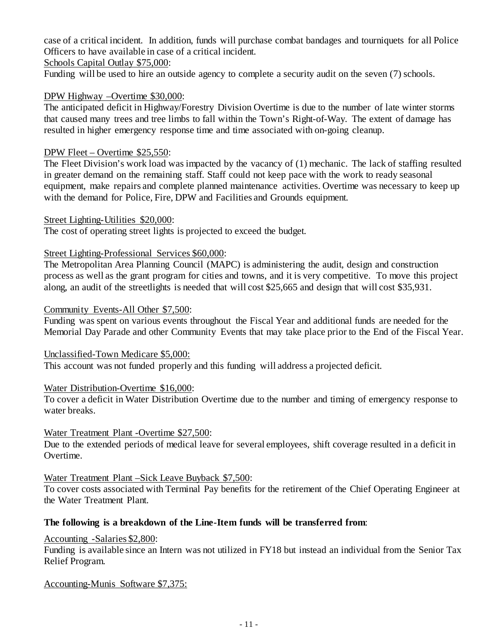case of a critical incident. In addition, funds will purchase combat bandages and tourniquets for all Police Officers to have available in case of a critical incident.

Schools Capital Outlay \$75,000:

Funding will be used to hire an outside agency to complete a security audit on the seven (7) schools.

### DPW Highway –Overtime \$30,000:

The anticipated deficit in Highway/Forestry Division Overtime is due to the number of late winter storms that caused many trees and tree limbs to fall within the Town's Right-of-Way. The extent of damage has resulted in higher emergency response time and time associated with on-going cleanup.

### DPW Fleet – Overtime \$25,550:

The Fleet Division's work load was impacted by the vacancy of (1) mechanic. The lack of staffing resulted in greater demand on the remaining staff. Staff could not keep pace with the work to ready seasonal equipment, make repairs and complete planned maintenance activities. Overtime was necessary to keep up with the demand for Police, Fire, DPW and Facilities and Grounds equipment.

#### Street Lighting-Utilities \$20,000:

The cost of operating street lights is projected to exceed the budget.

### Street Lighting-Professional Services \$60,000:

The Metropolitan Area Planning Council (MAPC) is administering the audit, design and construction process as well as the grant program for cities and towns, and it is very competitive. To move this project along, an audit of the streetlights is needed that will cost \$25,665 and design that will cost \$35,931.

#### Community Events-All Other \$7,500:

Funding was spent on various events throughout the Fiscal Year and additional funds are needed for the Memorial Day Parade and other Community Events that may take place prior to the End of the Fiscal Year.

#### Unclassified-Town Medicare \$5,000:

This account was not funded properly and this funding will address a projected deficit.

### Water Distribution-Overtime \$16,000:

To cover a deficit in Water Distribution Overtime due to the number and timing of emergency response to water breaks.

#### Water Treatment Plant -Overtime \$27,500:

Due to the extended periods of medical leave for several employees, shift coverage resulted in a deficit in Overtime.

#### Water Treatment Plant –Sick Leave Buyback \$7,500:

To cover costs associated with Terminal Pay benefits for the retirement of the Chief Operating Engineer at the Water Treatment Plant.

### **The following is a breakdown of the Line-Item funds will be transferred from**:

Accounting -Salaries \$2,800:

Funding is available since an Intern was not utilized in FY18 but instead an individual from the Senior Tax Relief Program.

#### Accounting-Munis Software \$7,375: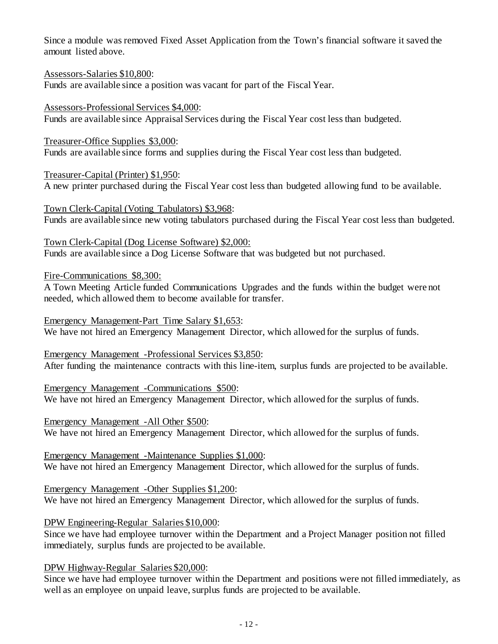Since a module was removed Fixed Asset Application from the Town's financial software it saved the amount listed above.

Assessors-Salaries \$10,800:

Funds are available since a position was vacant for part of the Fiscal Year.

Assessors-Professional Services \$4,000: Funds are available since Appraisal Services during the Fiscal Year cost less than budgeted.

Treasurer-Office Supplies \$3,000: Funds are available since forms and supplies during the Fiscal Year cost less than budgeted.

Treasurer-Capital (Printer) \$1,950: A new printer purchased during the Fiscal Year cost less than budgeted allowing fund to be available.

Town Clerk-Capital (Voting Tabulators) \$3,968: Funds are available since new voting tabulators purchased during the Fiscal Year cost less than budgeted.

Town Clerk-Capital (Dog License Software) \$2,000: Funds are available since a Dog License Software that was budgeted but not purchased.

Fire-Communications \$8,300:

A Town Meeting Article funded Communications Upgrades and the funds within the budget were not needed, which allowed them to become available for transfer.

Emergency Management-Part Time Salary \$1,653: We have not hired an Emergency Management Director, which allowed for the surplus of funds.

Emergency Management -Professional Services \$3,850: After funding the maintenance contracts with this line-item, surplus funds are projected to be available.

Emergency Management -Communications \$500: We have not hired an Emergency Management Director, which allowed for the surplus of funds.

Emergency Management -All Other \$500: We have not hired an Emergency Management Director, which allowed for the surplus of funds.

Emergency Management -Maintenance Supplies \$1,000: We have not hired an Emergency Management Director, which allowed for the surplus of funds.

Emergency Management -Other Supplies \$1,200: We have not hired an Emergency Management Director, which allowed for the surplus of funds.

DPW Engineering-Regular Salaries \$10,000:

Since we have had employee turnover within the Department and a Project Manager position not filled immediately, surplus funds are projected to be available.

DPW Highway-Regular Salaries \$20,000:

Since we have had employee turnover within the Department and positions were not filled immediately, as well as an employee on unpaid leave, surplus funds are projected to be available.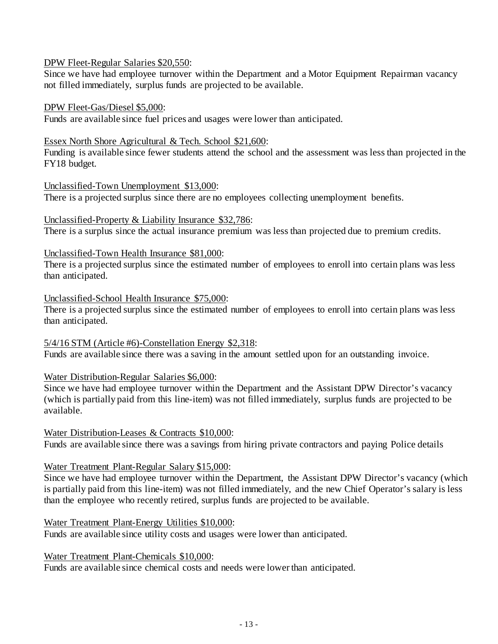#### DPW Fleet-Regular Salaries \$20,550:

Since we have had employee turnover within the Department and a Motor Equipment Repairman vacancy not filled immediately, surplus funds are projected to be available.

#### DPW Fleet-Gas/Diesel \$5,000:

Funds are available since fuel prices and usages were lower than anticipated.

#### Essex North Shore Agricultural & Tech. School \$21,600:

Funding is available since fewer students attend the school and the assessment was less than projected in the FY18 budget.

#### Unclassified-Town Unemployment \$13,000:

There is a projected surplus since there are no employees collecting unemployment benefits.

#### Unclassified-Property & Liability Insurance \$32,786:

There is a surplus since the actual insurance premium was less than projected due to premium credits.

#### Unclassified-Town Health Insurance \$81,000:

There is a projected surplus since the estimated number of employees to enroll into certain plans was less than anticipated.

#### Unclassified-School Health Insurance \$75,000:

There is a projected surplus since the estimated number of employees to enroll into certain plans was less than anticipated.

### 5/4/16 STM (Article #6)-Constellation Energy \$2,318:

Funds are available since there was a saving in the amount settled upon for an outstanding invoice.

#### Water Distribution-Regular Salaries \$6,000:

Since we have had employee turnover within the Department and the Assistant DPW Director's vacancy (which is partially paid from this line-item) was not filled immediately, surplus funds are projected to be available.

#### Water Distribution-Leases & Contracts \$10,000:

Funds are available since there was a savings from hiring private contractors and paying Police details

#### Water Treatment Plant-Regular Salary \$15,000:

Since we have had employee turnover within the Department, the Assistant DPW Director's vacancy (which is partially paid from this line-item) was not filled immediately, and the new Chief Operator's salary is less than the employee who recently retired, surplus funds are projected to be available.

#### Water Treatment Plant-Energy Utilities \$10,000:

Funds are available since utility costs and usages were lower than anticipated.

Water Treatment Plant-Chemicals \$10,000:

Funds are available since chemical costs and needs were lower than anticipated.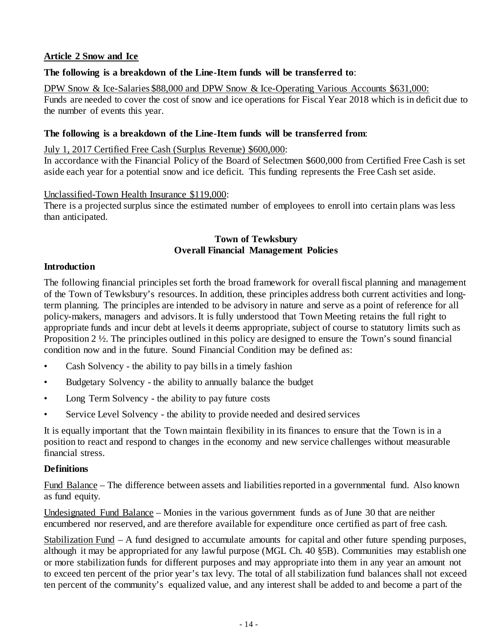### **Article 2 Snow and Ice**

### **The following is a breakdown of the Line-Item funds will be transferred to**:

DPW Snow & Ice-Salaries \$88,000 and DPW Snow & Ice-Operating Various Accounts \$631,000:

Funds are needed to cover the cost of snow and ice operations for Fiscal Year 2018 which is in deficit due to the number of events this year.

### **The following is a breakdown of the Line-Item funds will be transferred from**:

July 1, 2017 Certified Free Cash (Surplus Revenue) \$600,000:

In accordance with the Financial Policy of the Board of Selectmen \$600,000 from Certified Free Cash is set aside each year for a potential snow and ice deficit. This funding represents the Free Cash set aside.

Unclassified-Town Health Insurance \$119,000:

There is a projected surplus since the estimated number of employees to enroll into certain plans was less than anticipated.

### **Town of Tewksbury Overall Financial Management Policies**

### **Introduction**

The following financial principles set forth the broad framework for overall fiscal planning and management of the Town of Tewksbury's resources. In addition, these principles address both current activities and longterm planning. The principles are intended to be advisory in nature and serve as a point of reference for all policy-makers, managers and advisors. It is fully understood that Town Meeting retains the full right to appropriate funds and incur debt at levels it deems appropriate, subject of course to statutory limits such as Proposition 2 ½. The principles outlined in this policy are designed to ensure the Town's sound financial condition now and in the future. Sound Financial Condition may be defined as:

- Cash Solvency the ability to pay bills in a timely fashion
- Budgetary Solvency the ability to annually balance the budget
- Long Term Solvency the ability to pay future costs
- Service Level Solvency the ability to provide needed and desired services

It is equally important that the Town maintain flexibility in its finances to ensure that the Town is in a position to react and respond to changes in the economy and new service challenges without measurable financial stress.

#### **Definitions**

Fund Balance – The difference between assets and liabilities reported in a governmental fund. Also known as fund equity.

Undesignated Fund Balance – Monies in the various government funds as of June 30 that are neither encumbered nor reserved, and are therefore available for expenditure once certified as part of free cash.

Stabilization Fund – A fund designed to accumulate amounts for capital and other future spending purposes, although it may be appropriated for any lawful purpose (MGL Ch. 40 §5B). Communities may establish one or more stabilization funds for different purposes and may appropriate into them in any year an amount not to exceed ten percent of the prior year's tax levy. The total of all stabilization fund balances shall not exceed ten percent of the community's equalized value, and any interest shall be added to and become a part of the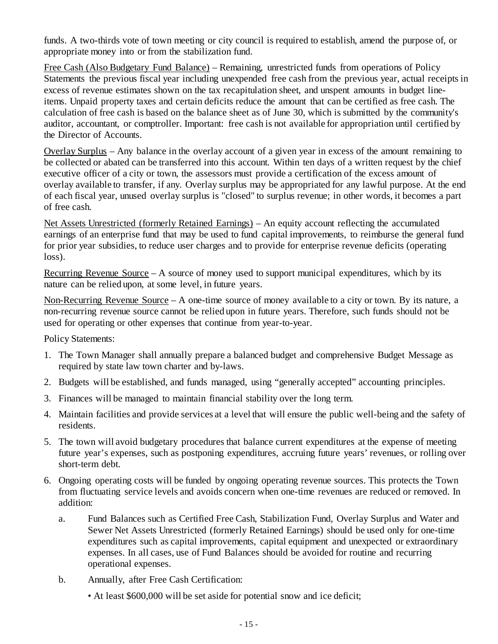funds. A two-thirds vote of town meeting or city council is required to establish, amend the purpose of, or appropriate money into or from the stabilization fund.

Free Cash (Also Budgetary Fund Balance) – Remaining, unrestricted funds from operations of Policy Statements the previous fiscal year including unexpended free cash from the previous year, actual receipts in excess of revenue estimates shown on the tax recapitulation sheet, and unspent amounts in budget lineitems. Unpaid property taxes and certain deficits reduce the amount that can be certified as free cash. The calculation of free cash is based on the balance sheet as of June 30, which is submitted by the community's auditor, accountant, or comptroller. Important: free cash is not available for appropriation until certified by the Director of Accounts.

Overlay Surplus – Any balance in the overlay account of a given year in excess of the amount remaining to be collected or abated can be transferred into this account. Within ten days of a written request by the chief executive officer of a city or town, the assessors must provide a certification of the excess amount of overlay available to transfer, if any. Overlay surplus may be appropriated for any lawful purpose. At the end of each fiscal year, unused overlay surplus is "closed" to surplus revenue; in other words, it becomes a part of free cash.

Net Assets Unrestricted (formerly Retained Earnings) – An equity account reflecting the accumulated earnings of an enterprise fund that may be used to fund capital improvements, to reimburse the general fund for prior year subsidies, to reduce user charges and to provide for enterprise revenue deficits (operating loss).

Recurring Revenue Source  $-A$  source of money used to support municipal expenditures, which by its nature can be relied upon, at some level, in future years.

Non-Recurring Revenue Source – A one-time source of money available to a city or town. By its nature, a non-recurring revenue source cannot be relied upon in future years. Therefore, such funds should not be used for operating or other expenses that continue from year-to-year.

Policy Statements:

- 1. The Town Manager shall annually prepare a balanced budget and comprehensive Budget Message as required by state law town charter and by-laws.
- 2. Budgets will be established, and funds managed, using "generally accepted" accounting principles.
- 3. Finances will be managed to maintain financial stability over the long term.
- 4. Maintain facilities and provide services at a level that will ensure the public well-being and the safety of residents.
- 5. The town will avoid budgetary procedures that balance current expenditures at the expense of meeting future year's expenses, such as postponing expenditures, accruing future years' revenues, or rolling over short-term debt.
- 6. Ongoing operating costs will be funded by ongoing operating revenue sources. This protects the Town from fluctuating service levels and avoids concern when one-time revenues are reduced or removed. In addition:
	- a. Fund Balances such as Certified Free Cash, Stabilization Fund, Overlay Surplus and Water and Sewer Net Assets Unrestricted (formerly Retained Earnings) should be used only for one-time expenditures such as capital improvements, capital equipment and unexpected or extraordinary expenses. In all cases, use of Fund Balances should be avoided for routine and recurring operational expenses.
	- b. Annually, after Free Cash Certification:
		- At least \$600,000 will be set aside for potential snow and ice deficit;